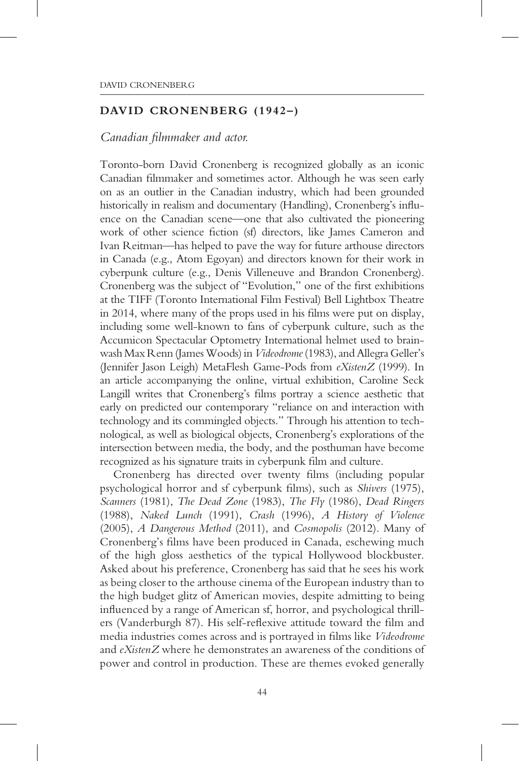# **DAVID CRONENBERG (1942–)**

## *Canadian !lmmaker and actor.*

Toronto-born David Cronenberg is recognized globally as an iconic Canadian filmmaker and sometimes actor. Although he was seen early on as an outlier in the Canadian industry, which had been grounded historically in realism and documentary (Handling), Cronenberg's influence on the Canadian scene—one that also cultivated the pioneering work of other science fiction (sf) directors, like James Cameron and Ivan Reitman—has helped to pave the way for future arthouse directors in Canada (e.g., Atom Egoyan) and directors known for their work in cyberpunk culture (e.g., Denis Villeneuve and Brandon Cronenberg). Cronenberg was the subject of "Evolution," one of the first exhibitions at the TIFF (Toronto International Film Festival) Bell Lightbox Theatre in 2014, where many of the props used in his films were put on display, including some well-known to fans of cyberpunk culture, such as the Accumicon Spectacular Optometry International helmet used to brainwash Max Renn (James Woods) in *Videodrome* (1983), and Allegra Geller's (Jennifer Jason Leigh) MetaFlesh Game-Pods from *eXistenZ* (1999). In an article accompanying the online, virtual exhibition, Caroline Seck Langill writes that Cronenberg's films portray a science aesthetic that early on predicted our contemporary "reliance on and interaction with technology and its commingled objects." Through his attention to technological, as well as biological objects, Cronenberg's explorations of the intersection between media, the body, and the posthuman have become recognized as his signature traits in cyberpunk film and culture.

Cronenberg has directed over twenty films (including popular psychological horror and sf cyberpunk !lms), such as *Shivers* (1975), *Scanners* (1981), *The Dead Zone* (1983), *The Fly* (1986), *Dead Ringers* (1988), *Naked Lunch* (1991), *Crash* (1996), *A History of Violence* (2005), *A Dangerous Method* (2011), and *Cosmopolis* (2012). Many of Cronenberg's films have been produced in Canada, eschewing much of the high gloss aesthetics of the typical Hollywood blockbuster. Asked about his preference, Cronenberg has said that he sees his work as being closer to the arthouse cinema of the European industry than to the high budget glitz of American movies, despite admitting to being influenced by a range of American sf, horror, and psychological thrillers (Vanderburgh 87). His self-reflexive attitude toward the film and media industries comes across and is portrayed in films like *Videodrome* and *eXistenZ* where he demonstrates an awareness of the conditions of power and control in production. These are themes evoked generally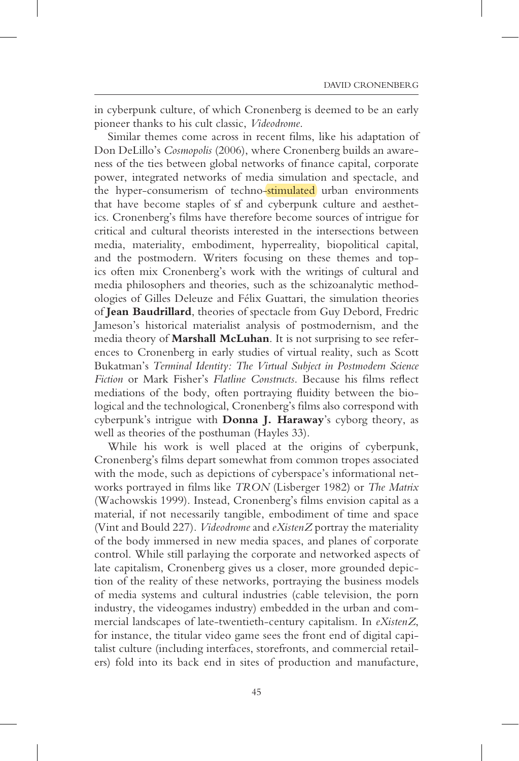in cyberpunk culture, of which Cronenberg is deemed to be an early pioneer thanks to his cult classic, *Videodrome*.

Similar themes come across in recent films, like his adaptation of Don DeLillo's *Cosmopolis* (2006), where Cronenberg builds an awareness of the ties between global networks of finance capital, corporate power, integrated networks of media simulation and spectacle, and the hyper-consumerism of techno-stimulated urban environments that have become staples of sf and cyberpunk culture and aesthetics. Cronenberg's films have therefore become sources of intrigue for critical and cultural theorists interested in the intersections between media, materiality, embodiment, hyperreality, biopolitical capital, and the postmodern. Writers focusing on these themes and topics often mix Cronenberg's work with the writings of cultural and media philosophers and theories, such as the schizoanalytic methodologies of Gilles Deleuze and Félix Guattari, the simulation theories of **Jean Baudrillard**, theories of spectacle from Guy Debord, Fredric Jameson's historical materialist analysis of postmodernism, and the media theory of **Marshall McLuhan**. It is not surprising to see references to Cronenberg in early studies of virtual reality, such as Scott Bukatman's *Terminal Identity: The Virtual Subject in Postmodern Science Fiction* or Mark Fisher's *Flatline Constructs*. Because his films reflect mediations of the body, often portraying fluidity between the biological and the technological, Cronenberg's films also correspond with cyberpunk's intrigue with **Donna J. Haraway**'s cyborg theory, as well as theories of the posthuman (Hayles 33).

While his work is well placed at the origins of cyberpunk, Cronenberg's films depart somewhat from common tropes associated with the mode, such as depictions of cyberspace's informational networks portrayed in !lms like *TRON* (Lisberger 1982) or *The Matrix* (Wachowskis 1999). Instead, Cronenberg's films envision capital as a material, if not necessarily tangible, embodiment of time and space (Vint and Bould 227). *Videodrome* and *eXistenZ* portray the materiality of the body immersed in new media spaces, and planes of corporate control. While still parlaying the corporate and networked aspects of late capitalism, Cronenberg gives us a closer, more grounded depiction of the reality of these networks, portraying the business models of media systems and cultural industries (cable television, the porn industry, the videogames industry) embedded in the urban and commercial landscapes of late-twentieth-century capitalism. In *eXistenZ*, for instance, the titular video game sees the front end of digital capitalist culture (including interfaces, storefronts, and commercial retailers) fold into its back end in sites of production and manufacture,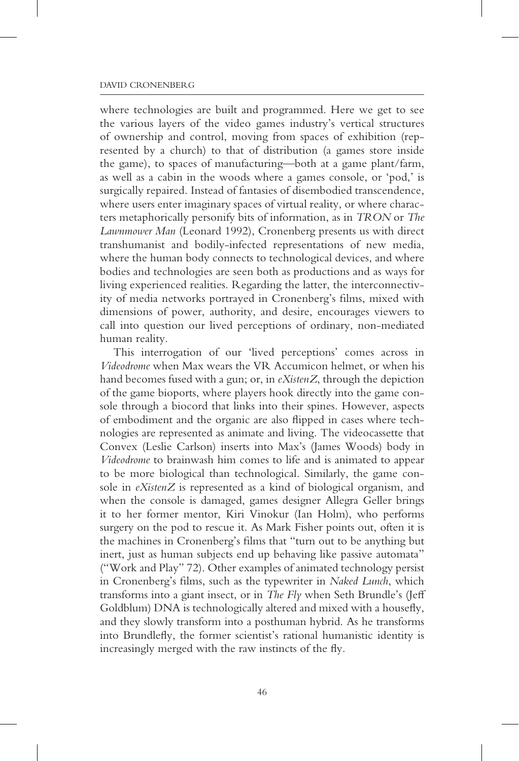#### DAVID CRONENBERG

where technologies are built and programmed. Here we get to see the various layers of the video games industry's vertical structures of ownership and control, moving from spaces of exhibition (represented by a church) to that of distribution (a games store inside the game), to spaces of manufacturing—both at a game plant/farm, as well as a cabin in the woods where a games console, or 'pod,' is surgically repaired. Instead of fantasies of disembodied transcendence, where users enter imaginary spaces of virtual reality, or where characters metaphorically personify bits of information, as in *TRON* or *The Lawnmower Man* (Leonard 1992), Cronenberg presents us with direct transhumanist and bodily-infected representations of new media, where the human body connects to technological devices, and where bodies and technologies are seen both as productions and as ways for living experienced realities. Regarding the latter, the interconnectivity of media networks portrayed in Cronenberg's films, mixed with dimensions of power, authority, and desire, encourages viewers to call into question our lived perceptions of ordinary, non-mediated human reality.

This interrogation of our 'lived perceptions' comes across in *Videodrome* when Max wears the VR Accumicon helmet, or when his hand becomes fused with a gun; or, in *eXistenZ*, through the depiction of the game bioports, where players hook directly into the game console through a biocord that links into their spines. However, aspects of embodiment and the organic are also flipped in cases where technologies are represented as animate and living. The videocassette that Convex (Leslie Carlson) inserts into Max's (James Woods) body in *Videodrome* to brainwash him comes to life and is animated to appear to be more biological than technological. Similarly, the game console in *eXistenZ* is represented as a kind of biological organism, and when the console is damaged, games designer Allegra Geller brings it to her former mentor, Kiri Vinokur (Ian Holm), who performs surgery on the pod to rescue it. As Mark Fisher points out, often it is the machines in Cronenberg's films that "turn out to be anything but inert, just as human subjects end up behaving like passive automata" ("Work and Play" 72). Other examples of animated technology persist in Cronenberg's films, such as the typewriter in *Naked Lunch*, which transforms into a giant insect, or in *The Fly* when Seth Brundle's (Jeff Goldblum) DNA is technologically altered and mixed with a housefly, and they slowly transform into a posthuman hybrid. As he transforms into Brundlefly, the former scientist's rational humanistic identity is increasingly merged with the raw instincts of the fly.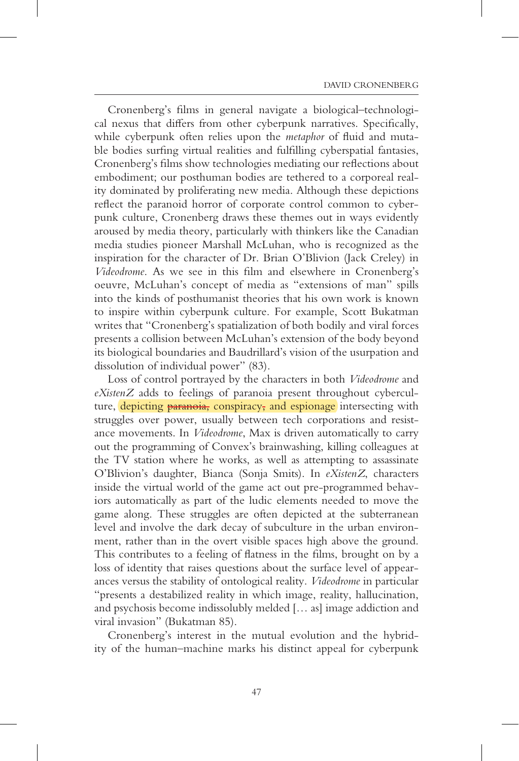Cronenberg's films in general navigate a biological–technological nexus that differs from other cyberpunk narratives. Specifically, while cyberpunk often relies upon the *metaphor* of fluid and mutable bodies surfing virtual realities and fulfilling cyberspatial fantasies, Cronenberg's films show technologies mediating our reflections about embodiment; our posthuman bodies are tethered to a corporeal reality dominated by proliferating new media. Although these depictions reflect the paranoid horror of corporate control common to cyberpunk culture, Cronenberg draws these themes out in ways evidently aroused by media theory, particularly with thinkers like the Canadian media studies pioneer Marshall McLuhan, who is recognized as the inspiration for the character of Dr. Brian O'Blivion (Jack Creley) in Videodrome. As we see in this film and elsewhere in Cronenberg's oeuvre, McLuhan's concept of media as "extensions of man" spills into the kinds of posthumanist theories that his own work is known to inspire within cyberpunk culture. For example, Scott Bukatman writes that "Cronenberg's spatialization of both bodily and viral forces presents a collision between McLuhan's extension of the body beyond its biological boundaries and Baudrillard's vision of the usurpation and dissolution of individual power" (83).

Loss of control portrayed by the characters in both *Videodrome* and *eXistenZ* adds to feelings of paranoia present throughout cyberculture, depicting **paranoia**, conspiracy, and espionage intersecting with struggles over power, usually between tech corporations and resistance movements. In *Videodrome*, Max is driven automatically to carry out the programming of Convex's brainwashing, killing colleagues at the TV station where he works, as well as attempting to assassinate O'Blivion's daughter, Bianca (Sonja Smits). In *eXistenZ*, characters inside the virtual world of the game act out pre-programmed behaviors automatically as part of the ludic elements needed to move the game along. These struggles are often depicted at the subterranean level and involve the dark decay of subculture in the urban environment, rather than in the overt visible spaces high above the ground. This contributes to a feeling of flatness in the films, brought on by a loss of identity that raises questions about the surface level of appearances versus the stability of ontological reality. *Videodrome* in particular "presents a destabilized reality in which image, reality, hallucination, and psychosis become indissolubly melded [… as] image addiction and viral invasion" (Bukatman 85).

Cronenberg's interest in the mutual evolution and the hybridity of the human–machine marks his distinct appeal for cyberpunk